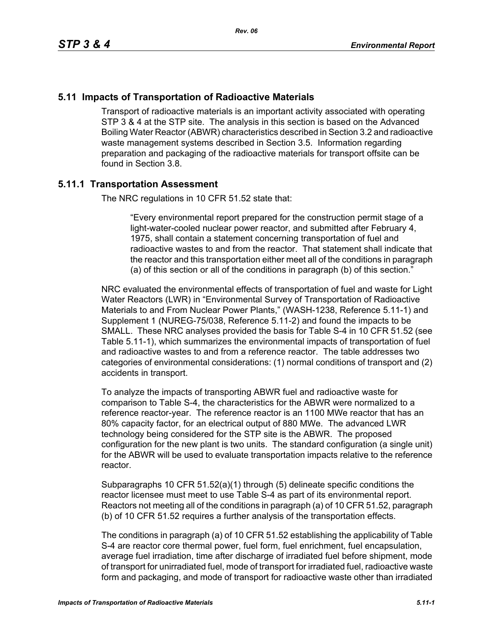## **5.11 Impacts of Transportation of Radioactive Materials**

Transport of radioactive materials is an important activity associated with operating STP 3 & 4 at the STP site. The analysis in this section is based on the Advanced Boiling Water Reactor (ABWR) characteristics described in Section 3.2 and radioactive waste management systems described in Section 3.5. Information regarding preparation and packaging of the radioactive materials for transport offsite can be found in Section 3.8.

## **5.11.1 Transportation Assessment**

The NRC regulations in 10 CFR 51.52 state that:

"Every environmental report prepared for the construction permit stage of a light-water-cooled nuclear power reactor, and submitted after February 4, 1975, shall contain a statement concerning transportation of fuel and radioactive wastes to and from the reactor. That statement shall indicate that the reactor and this transportation either meet all of the conditions in paragraph (a) of this section or all of the conditions in paragraph (b) of this section."

NRC evaluated the environmental effects of transportation of fuel and waste for Light Water Reactors (LWR) in "Environmental Survey of Transportation of Radioactive Materials to and From Nuclear Power Plants," (WASH-1238, Reference 5.11-1) and Supplement 1 (NUREG-75/038, Reference 5.11-2) and found the impacts to be SMALL. These NRC analyses provided the basis for Table S-4 in 10 CFR 51.52 (see Table 5.11-1), which summarizes the environmental impacts of transportation of fuel and radioactive wastes to and from a reference reactor. The table addresses two categories of environmental considerations: (1) normal conditions of transport and (2) accidents in transport.

To analyze the impacts of transporting ABWR fuel and radioactive waste for comparison to Table S-4, the characteristics for the ABWR were normalized to a reference reactor-year. The reference reactor is an 1100 MWe reactor that has an 80% capacity factor, for an electrical output of 880 MWe. The advanced LWR technology being considered for the STP site is the ABWR. The proposed configuration for the new plant is two units. The standard configuration (a single unit) for the ABWR will be used to evaluate transportation impacts relative to the reference reactor.

Subparagraphs 10 CFR 51.52(a)(1) through (5) delineate specific conditions the reactor licensee must meet to use Table S-4 as part of its environmental report. Reactors not meeting all of the conditions in paragraph (a) of 10 CFR 51.52, paragraph (b) of 10 CFR 51.52 requires a further analysis of the transportation effects.

The conditions in paragraph (a) of 10 CFR 51.52 establishing the applicability of Table S-4 are reactor core thermal power, fuel form, fuel enrichment, fuel encapsulation, average fuel irradiation, time after discharge of irradiated fuel before shipment, mode of transport for unirradiated fuel, mode of transport for irradiated fuel, radioactive waste form and packaging, and mode of transport for radioactive waste other than irradiated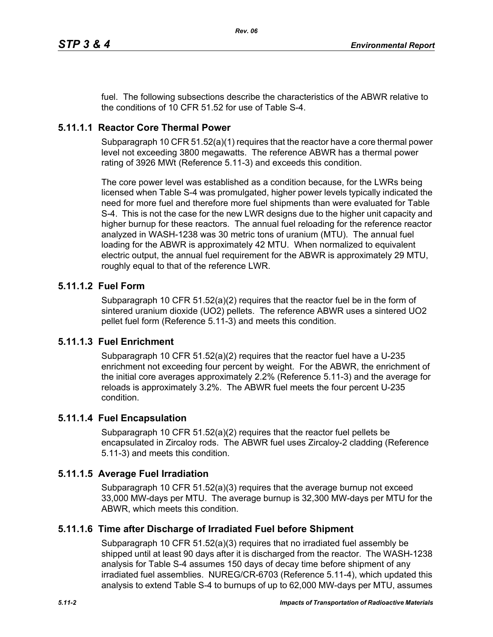fuel. The following subsections describe the characteristics of the ABWR relative to the conditions of 10 CFR 51.52 for use of Table S-4.

## **5.11.1.1 Reactor Core Thermal Power**

Subparagraph 10 CFR 51.52(a)(1) requires that the reactor have a core thermal power level not exceeding 3800 megawatts. The reference ABWR has a thermal power rating of 3926 MWt (Reference 5.11-3) and exceeds this condition.

The core power level was established as a condition because, for the LWRs being licensed when Table S-4 was promulgated, higher power levels typically indicated the need for more fuel and therefore more fuel shipments than were evaluated for Table S-4. This is not the case for the new LWR designs due to the higher unit capacity and higher burnup for these reactors. The annual fuel reloading for the reference reactor analyzed in WASH-1238 was 30 metric tons of uranium (MTU). The annual fuel loading for the ABWR is approximately 42 MTU. When normalized to equivalent electric output, the annual fuel requirement for the ABWR is approximately 29 MTU, roughly equal to that of the reference LWR.

## **5.11.1.2 Fuel Form**

Subparagraph 10 CFR 51.52(a)(2) requires that the reactor fuel be in the form of sintered uranium dioxide (UO2) pellets. The reference ABWR uses a sintered UO2 pellet fuel form (Reference 5.11-3) and meets this condition.

## **5.11.1.3 Fuel Enrichment**

Subparagraph 10 CFR 51.52(a)(2) requires that the reactor fuel have a U-235 enrichment not exceeding four percent by weight. For the ABWR, the enrichment of the initial core averages approximately 2.2% (Reference 5.11-3) and the average for reloads is approximately 3.2%. The ABWR fuel meets the four percent U-235 condition.

## **5.11.1.4 Fuel Encapsulation**

Subparagraph 10 CFR 51.52(a)(2) requires that the reactor fuel pellets be encapsulated in Zircaloy rods. The ABWR fuel uses Zircaloy-2 cladding (Reference 5.11-3) and meets this condition.

## **5.11.1.5 Average Fuel Irradiation**

Subparagraph 10 CFR  $51.52(a)(3)$  requires that the average burnup not exceed 33,000 MW-days per MTU. The average burnup is 32,300 MW-days per MTU for the ABWR, which meets this condition.

## **5.11.1.6 Time after Discharge of Irradiated Fuel before Shipment**

Subparagraph 10 CFR 51.52(a)(3) requires that no irradiated fuel assembly be shipped until at least 90 days after it is discharged from the reactor. The WASH-1238 analysis for Table S-4 assumes 150 days of decay time before shipment of any irradiated fuel assemblies. NUREG/CR-6703 (Reference 5.11-4), which updated this analysis to extend Table S-4 to burnups of up to 62,000 MW-days per MTU, assumes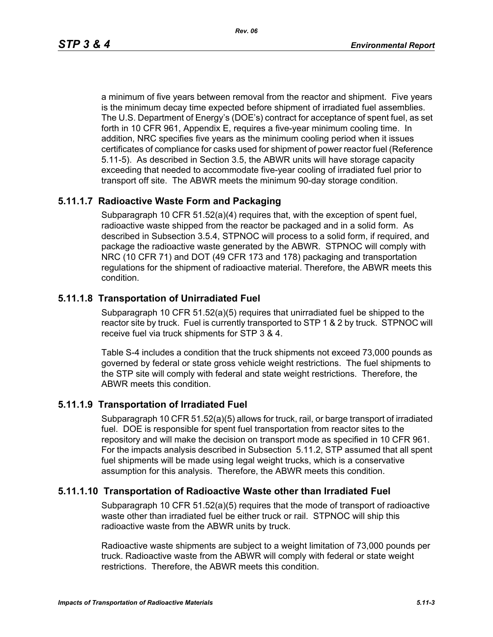a minimum of five years between removal from the reactor and shipment. Five years is the minimum decay time expected before shipment of irradiated fuel assemblies. The U.S. Department of Energy's (DOE's) contract for acceptance of spent fuel, as set forth in 10 CFR 961, Appendix E, requires a five-year minimum cooling time. In addition, NRC specifies five years as the minimum cooling period when it issues certificates of compliance for casks used for shipment of power reactor fuel (Reference 5.11-5). As described in Section 3.5, the ABWR units will have storage capacity exceeding that needed to accommodate five-year cooling of irradiated fuel prior to transport off site. The ABWR meets the minimum 90-day storage condition.

## **5.11.1.7 Radioactive Waste Form and Packaging**

Subparagraph 10 CFR 51.52(a)(4) requires that, with the exception of spent fuel, radioactive waste shipped from the reactor be packaged and in a solid form. As described in Subsection 3.5.4, STPNOC will process to a solid form, if required, and package the radioactive waste generated by the ABWR. STPNOC will comply with NRC (10 CFR 71) and DOT (49 CFR 173 and 178) packaging and transportation regulations for the shipment of radioactive material. Therefore, the ABWR meets this condition.

## **5.11.1.8 Transportation of Unirradiated Fuel**

Subparagraph 10 CFR 51.52(a)(5) requires that unirradiated fuel be shipped to the reactor site by truck. Fuel is currently transported to STP 1 & 2 by truck. STPNOC will receive fuel via truck shipments for STP 3 & 4.

Table S-4 includes a condition that the truck shipments not exceed 73,000 pounds as governed by federal or state gross vehicle weight restrictions. The fuel shipments to the STP site will comply with federal and state weight restrictions. Therefore, the ABWR meets this condition.

## **5.11.1.9 Transportation of Irradiated Fuel**

Subparagraph 10 CFR 51.52(a)(5) allows for truck, rail, or barge transport of irradiated fuel. DOE is responsible for spent fuel transportation from reactor sites to the repository and will make the decision on transport mode as specified in 10 CFR 961. For the impacts analysis described in Subsection 5.11.2, STP assumed that all spent fuel shipments will be made using legal weight trucks, which is a conservative assumption for this analysis. Therefore, the ABWR meets this condition.

## **5.11.1.10 Transportation of Radioactive Waste other than Irradiated Fuel**

Subparagraph 10 CFR 51.52(a)(5) requires that the mode of transport of radioactive waste other than irradiated fuel be either truck or rail. STPNOC will ship this radioactive waste from the ABWR units by truck.

Radioactive waste shipments are subject to a weight limitation of 73,000 pounds per truck. Radioactive waste from the ABWR will comply with federal or state weight restrictions. Therefore, the ABWR meets this condition.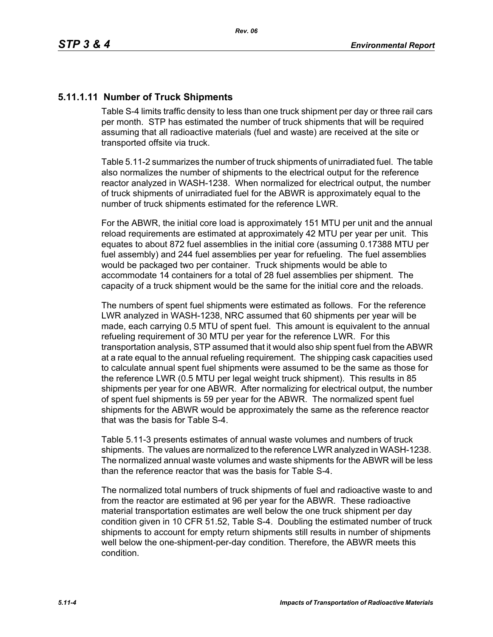## **5.11.1.11 Number of Truck Shipments**

Table S-4 limits traffic density to less than one truck shipment per day or three rail cars per month. STP has estimated the number of truck shipments that will be required assuming that all radioactive materials (fuel and waste) are received at the site or transported offsite via truck.

Table 5.11-2 summarizes the number of truck shipments of unirradiated fuel. The table also normalizes the number of shipments to the electrical output for the reference reactor analyzed in WASH-1238. When normalized for electrical output, the number of truck shipments of unirradiated fuel for the ABWR is approximately equal to the number of truck shipments estimated for the reference LWR.

For the ABWR, the initial core load is approximately 151 MTU per unit and the annual reload requirements are estimated at approximately 42 MTU per year per unit. This equates to about 872 fuel assemblies in the initial core (assuming 0.17388 MTU per fuel assembly) and 244 fuel assemblies per year for refueling. The fuel assemblies would be packaged two per container. Truck shipments would be able to accommodate 14 containers for a total of 28 fuel assemblies per shipment. The capacity of a truck shipment would be the same for the initial core and the reloads.

The numbers of spent fuel shipments were estimated as follows. For the reference LWR analyzed in WASH-1238, NRC assumed that 60 shipments per year will be made, each carrying 0.5 MTU of spent fuel. This amount is equivalent to the annual refueling requirement of 30 MTU per year for the reference LWR. For this transportation analysis, STP assumed that it would also ship spent fuel from the ABWR at a rate equal to the annual refueling requirement. The shipping cask capacities used to calculate annual spent fuel shipments were assumed to be the same as those for the reference LWR (0.5 MTU per legal weight truck shipment). This results in 85 shipments per year for one ABWR. After normalizing for electrical output, the number of spent fuel shipments is 59 per year for the ABWR. The normalized spent fuel shipments for the ABWR would be approximately the same as the reference reactor that was the basis for Table S-4.

Table 5.11-3 presents estimates of annual waste volumes and numbers of truck shipments. The values are normalized to the reference LWR analyzed in WASH-1238. The normalized annual waste volumes and waste shipments for the ABWR will be less than the reference reactor that was the basis for Table S-4.

The normalized total numbers of truck shipments of fuel and radioactive waste to and from the reactor are estimated at 96 per year for the ABWR. These radioactive material transportation estimates are well below the one truck shipment per day condition given in 10 CFR 51.52, Table S-4. Doubling the estimated number of truck shipments to account for empty return shipments still results in number of shipments well below the one-shipment-per-day condition. Therefore, the ABWR meets this condition.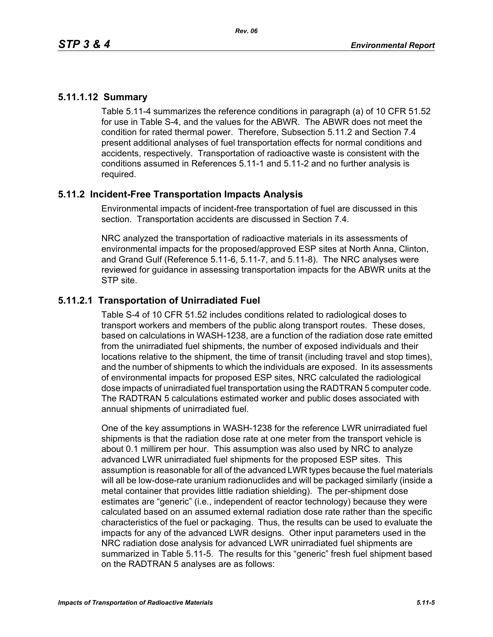## **5.11.1.12 Summary**

Table 5.11-4 summarizes the reference conditions in paragraph (a) of 10 CFR 51.52 for use in Table S-4, and the values for the ABWR. The ABWR does not meet the condition for rated thermal power. Therefore, Subsection 5.11.2 and Section 7.4 present additional analyses of fuel transportation effects for normal conditions and accidents, respectively. Transportation of radioactive waste is consistent with the conditions assumed in References 5.11-1 and 5.11-2 and no further analysis is required.

## **5.11.2 Incident-Free Transportation Impacts Analysis**

Environmental impacts of incident-free transportation of fuel are discussed in this section. Transportation accidents are discussed in Section 7.4.

NRC analyzed the transportation of radioactive materials in its assessments of environmental impacts for the proposed/approved ESP sites at North Anna, Clinton, and Grand Gulf (Reference 5.11-6, 5.11-7, and 5.11-8). The NRC analyses were reviewed for guidance in assessing transportation impacts for the ABWR units at the STP site.

## **5.11.2.1 Transportation of Unirradiated Fuel**

Table S-4 of 10 CFR 51.52 includes conditions related to radiological doses to transport workers and members of the public along transport routes. These doses, based on calculations in WASH-1238, are a function of the radiation dose rate emitted from the unirradiated fuel shipments, the number of exposed individuals and their locations relative to the shipment, the time of transit (including travel and stop times), and the number of shipments to which the individuals are exposed. In its assessments of environmental impacts for proposed ESP sites, NRC calculated the radiological dose impacts of unirradiated fuel transportation using the RADTRAN 5 computer code. The RADTRAN 5 calculations estimated worker and public doses associated with annual shipments of unirradiated fuel.

One of the key assumptions in WASH-1238 for the reference LWR unirradiated fuel shipments is that the radiation dose rate at one meter from the transport vehicle is about 0.1 millirem per hour. This assumption was also used by NRC to analyze advanced LWR unirradiated fuel shipments for the proposed ESP sites. This assumption is reasonable for all of the advanced LWR types because the fuel materials will all be low-dose-rate uranium radionuclides and will be packaged similarly (inside a metal container that provides little radiation shielding). The per-shipment dose estimates are "generic" (i.e., independent of reactor technology) because they were calculated based on an assumed external radiation dose rate rather than the specific characteristics of the fuel or packaging. Thus, the results can be used to evaluate the impacts for any of the advanced LWR designs. Other input parameters used in the NRC radiation dose analysis for advanced LWR unirradiated fuel shipments are summarized in Table 5.11-5. The results for this "generic" fresh fuel shipment based on the RADTRAN 5 analyses are as follows: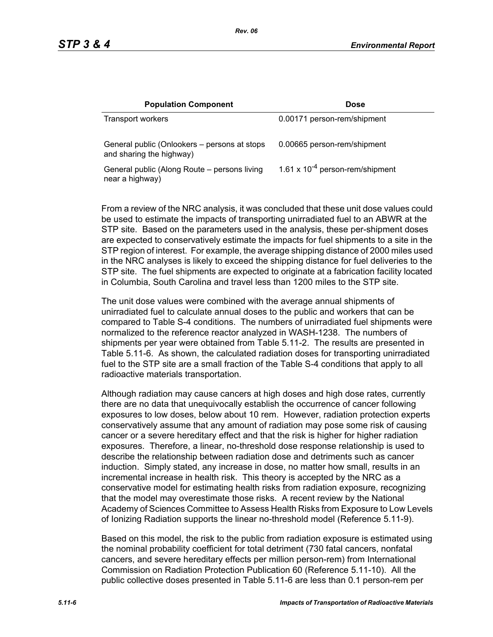| <b>Population Component</b>                                              | <b>Dose</b>                          |
|--------------------------------------------------------------------------|--------------------------------------|
| Transport workers                                                        | 0.00171 person-rem/shipment          |
| General public (Onlookers – persons at stops<br>and sharing the highway) | 0.00665 person-rem/shipment          |
| General public (Along Route – persons living<br>near a highway)          | 1.61 x $10^{-4}$ person-rem/shipment |

From a review of the NRC analysis, it was concluded that these unit dose values could be used to estimate the impacts of transporting unirradiated fuel to an ABWR at the STP site. Based on the parameters used in the analysis, these per-shipment doses are expected to conservatively estimate the impacts for fuel shipments to a site in the STP region of interest. For example, the average shipping distance of 2000 miles used in the NRC analyses is likely to exceed the shipping distance for fuel deliveries to the STP site. The fuel shipments are expected to originate at a fabrication facility located in Columbia, South Carolina and travel less than 1200 miles to the STP site.

The unit dose values were combined with the average annual shipments of unirradiated fuel to calculate annual doses to the public and workers that can be compared to Table S-4 conditions. The numbers of unirradiated fuel shipments were normalized to the reference reactor analyzed in WASH-1238. The numbers of shipments per year were obtained from Table 5.11-2. The results are presented in Table 5.11-6. As shown, the calculated radiation doses for transporting unirradiated fuel to the STP site are a small fraction of the Table S-4 conditions that apply to all radioactive materials transportation.

Although radiation may cause cancers at high doses and high dose rates, currently there are no data that unequivocally establish the occurrence of cancer following exposures to low doses, below about 10 rem. However, radiation protection experts conservatively assume that any amount of radiation may pose some risk of causing cancer or a severe hereditary effect and that the risk is higher for higher radiation exposures. Therefore, a linear, no-threshold dose response relationship is used to describe the relationship between radiation dose and detriments such as cancer induction. Simply stated, any increase in dose, no matter how small, results in an incremental increase in health risk. This theory is accepted by the NRC as a conservative model for estimating health risks from radiation exposure, recognizing that the model may overestimate those risks. A recent review by the National Academy of Sciences Committee to Assess Health Risks from Exposure to Low Levels of Ionizing Radiation supports the linear no-threshold model (Reference 5.11-9).

Based on this model, the risk to the public from radiation exposure is estimated using the nominal probability coefficient for total detriment (730 fatal cancers, nonfatal cancers, and severe hereditary effects per million person-rem) from International Commission on Radiation Protection Publication 60 (Reference 5.11-10). All the public collective doses presented in Table 5.11-6 are less than 0.1 person-rem per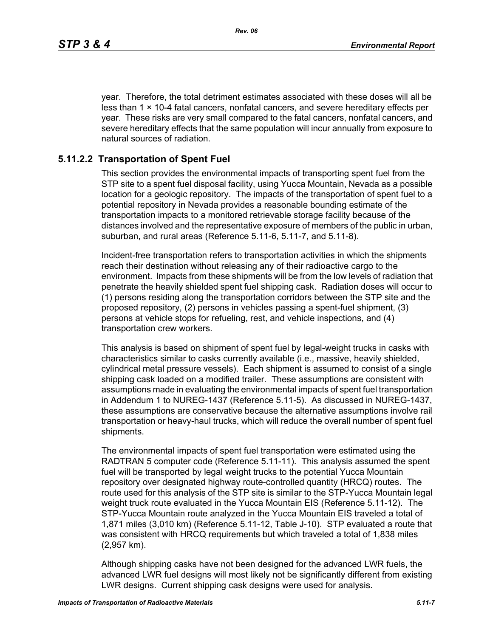year. Therefore, the total detriment estimates associated with these doses will all be less than  $1 \times 10-4$  fatal cancers, nonfatal cancers, and severe hereditary effects per year. These risks are very small compared to the fatal cancers, nonfatal cancers, and severe hereditary effects that the same population will incur annually from exposure to natural sources of radiation.

## **5.11.2.2 Transportation of Spent Fuel**

This section provides the environmental impacts of transporting spent fuel from the STP site to a spent fuel disposal facility, using Yucca Mountain, Nevada as a possible location for a geologic repository. The impacts of the transportation of spent fuel to a potential repository in Nevada provides a reasonable bounding estimate of the transportation impacts to a monitored retrievable storage facility because of the distances involved and the representative exposure of members of the public in urban, suburban, and rural areas (Reference 5.11-6, 5.11-7, and 5.11-8).

Incident-free transportation refers to transportation activities in which the shipments reach their destination without releasing any of their radioactive cargo to the environment. Impacts from these shipments will be from the low levels of radiation that penetrate the heavily shielded spent fuel shipping cask. Radiation doses will occur to (1) persons residing along the transportation corridors between the STP site and the proposed repository, (2) persons in vehicles passing a spent-fuel shipment, (3) persons at vehicle stops for refueling, rest, and vehicle inspections, and (4) transportation crew workers.

This analysis is based on shipment of spent fuel by legal-weight trucks in casks with characteristics similar to casks currently available (i.e., massive, heavily shielded, cylindrical metal pressure vessels). Each shipment is assumed to consist of a single shipping cask loaded on a modified trailer. These assumptions are consistent with assumptions made in evaluating the environmental impacts of spent fuel transportation in Addendum 1 to NUREG-1437 (Reference 5.11-5). As discussed in NUREG-1437, these assumptions are conservative because the alternative assumptions involve rail transportation or heavy-haul trucks, which will reduce the overall number of spent fuel shipments.

The environmental impacts of spent fuel transportation were estimated using the RADTRAN 5 computer code (Reference 5.11-11). This analysis assumed the spent fuel will be transported by legal weight trucks to the potential Yucca Mountain repository over designated highway route-controlled quantity (HRCQ) routes. The route used for this analysis of the STP site is similar to the STP-Yucca Mountain legal weight truck route evaluated in the Yucca Mountain EIS (Reference 5.11-12). The STP-Yucca Mountain route analyzed in the Yucca Mountain EIS traveled a total of 1,871 miles (3,010 km) (Reference 5.11-12, Table J-10). STP evaluated a route that was consistent with HRCQ requirements but which traveled a total of 1,838 miles (2,957 km).

Although shipping casks have not been designed for the advanced LWR fuels, the advanced LWR fuel designs will most likely not be significantly different from existing LWR designs. Current shipping cask designs were used for analysis.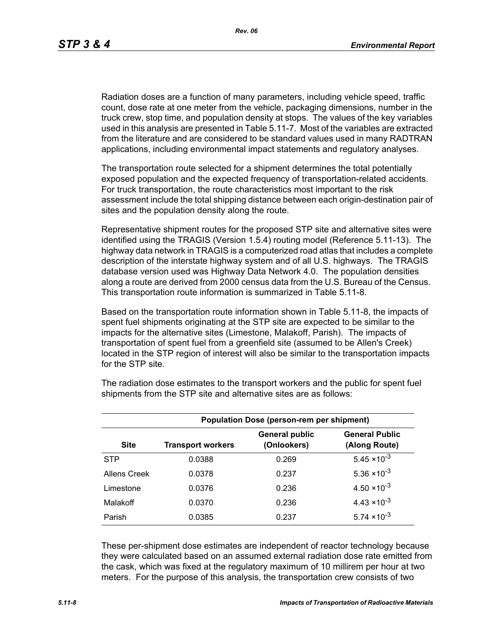Radiation doses are a function of many parameters, including vehicle speed, traffic count, dose rate at one meter from the vehicle, packaging dimensions, number in the truck crew, stop time, and population density at stops. The values of the key variables used in this analysis are presented in Table 5.11-7. Most of the variables are extracted from the literature and are considered to be standard values used in many RADTRAN applications, including environmental impact statements and regulatory analyses.

The transportation route selected for a shipment determines the total potentially exposed population and the expected frequency of transportation-related accidents. For truck transportation, the route characteristics most important to the risk assessment include the total shipping distance between each origin-destination pair of sites and the population density along the route.

Representative shipment routes for the proposed STP site and alternative sites were identified using the TRAGIS (Version 1.5.4) routing model (Reference 5.11-13). The highway data network in TRAGIS is a computerized road atlas that includes a complete description of the interstate highway system and of all U.S. highways. The TRAGIS database version used was Highway Data Network 4.0. The population densities along a route are derived from 2000 census data from the U.S. Bureau of the Census. This transportation route information is summarized in Table 5.11-8.

Based on the transportation route information shown in Table 5.11-8, the impacts of spent fuel shipments originating at the STP site are expected to be similar to the impacts for the alternative sites (Limestone, Malakoff, Parish). The impacts of transportation of spent fuel from a greenfield site (assumed to be Allen's Creek) located in the STP region of interest will also be similar to the transportation impacts for the STP site.

| <b>Population Dose (person-rem per shipment)</b> |                          |                                      |                                        |  |  |
|--------------------------------------------------|--------------------------|--------------------------------------|----------------------------------------|--|--|
| <b>Site</b>                                      | <b>Transport workers</b> | <b>General public</b><br>(Onlookers) | <b>General Public</b><br>(Along Route) |  |  |
| <b>STP</b>                                       | 0.0388                   | 0.269                                | $5.45 \times 10^{-3}$                  |  |  |
| Allens Creek                                     | 0.0378                   | 0.237                                | $5.36 \times 10^{-3}$                  |  |  |
| Limestone                                        | 0.0376                   | 0.236                                | $4.50 \times 10^{-3}$                  |  |  |
| Malakoff                                         | 0.0370                   | 0.236                                | $4.43 \times 10^{-3}$                  |  |  |
| Parish                                           | 0.0385                   | 0.237                                | $5.74 \times 10^{-3}$                  |  |  |

The radiation dose estimates to the transport workers and the public for spent fuel shipments from the STP site and alternative sites are as follows:

These per-shipment dose estimates are independent of reactor technology because they were calculated based on an assumed external radiation dose rate emitted from the cask, which was fixed at the regulatory maximum of 10 millirem per hour at two meters. For the purpose of this analysis, the transportation crew consists of two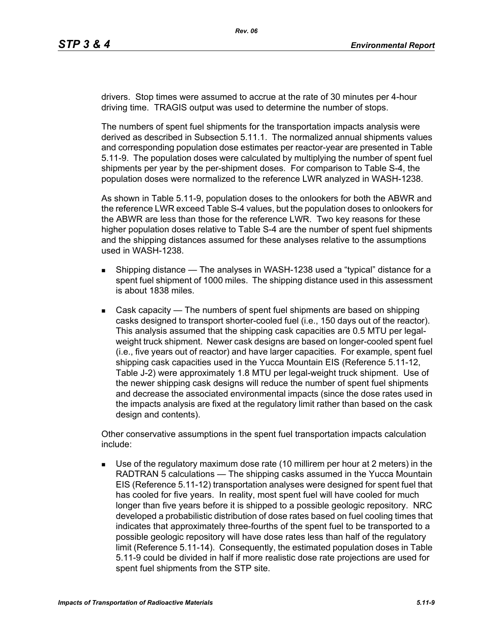drivers. Stop times were assumed to accrue at the rate of 30 minutes per 4-hour driving time. TRAGIS output was used to determine the number of stops.

The numbers of spent fuel shipments for the transportation impacts analysis were derived as described in Subsection 5.11.1. The normalized annual shipments values and corresponding population dose estimates per reactor-year are presented in Table 5.11-9. The population doses were calculated by multiplying the number of spent fuel shipments per year by the per-shipment doses. For comparison to Table S-4, the population doses were normalized to the reference LWR analyzed in WASH-1238.

As shown in Table 5.11-9, population doses to the onlookers for both the ABWR and the reference LWR exceed Table S-4 values, but the population doses to onlookers for the ABWR are less than those for the reference LWR. Two key reasons for these higher population doses relative to Table S-4 are the number of spent fuel shipments and the shipping distances assumed for these analyses relative to the assumptions used in WASH-1238.

- **Shipping distance The analyses in WASH-1238 used a "typical" distance for a** spent fuel shipment of 1000 miles. The shipping distance used in this assessment is about 1838 miles.
- Cask capacity The numbers of spent fuel shipments are based on shipping casks designed to transport shorter-cooled fuel (i.e., 150 days out of the reactor). This analysis assumed that the shipping cask capacities are 0.5 MTU per legalweight truck shipment. Newer cask designs are based on longer-cooled spent fuel (i.e., five years out of reactor) and have larger capacities. For example, spent fuel shipping cask capacities used in the Yucca Mountain EIS (Reference 5.11-12, Table J-2) were approximately 1.8 MTU per legal-weight truck shipment. Use of the newer shipping cask designs will reduce the number of spent fuel shipments and decrease the associated environmental impacts (since the dose rates used in the impacts analysis are fixed at the regulatory limit rather than based on the cask design and contents).

Other conservative assumptions in the spent fuel transportation impacts calculation include:

 Use of the regulatory maximum dose rate (10 millirem per hour at 2 meters) in the RADTRAN 5 calculations — The shipping casks assumed in the Yucca Mountain EIS (Reference 5.11-12) transportation analyses were designed for spent fuel that has cooled for five years. In reality, most spent fuel will have cooled for much longer than five years before it is shipped to a possible geologic repository. NRC developed a probabilistic distribution of dose rates based on fuel cooling times that indicates that approximately three-fourths of the spent fuel to be transported to a possible geologic repository will have dose rates less than half of the regulatory limit (Reference 5.11-14). Consequently, the estimated population doses in Table 5.11-9 could be divided in half if more realistic dose rate projections are used for spent fuel shipments from the STP site.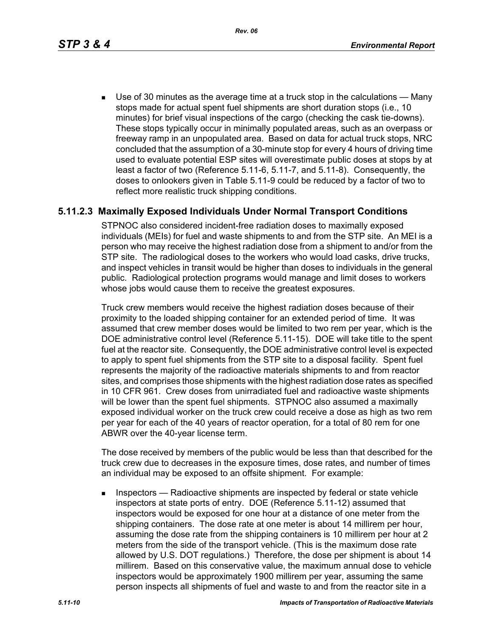*Rev. 06*

 Use of 30 minutes as the average time at a truck stop in the calculations — Many stops made for actual spent fuel shipments are short duration stops (i.e., 10 minutes) for brief visual inspections of the cargo (checking the cask tie-downs). These stops typically occur in minimally populated areas, such as an overpass or freeway ramp in an unpopulated area. Based on data for actual truck stops, NRC concluded that the assumption of a 30-minute stop for every 4 hours of driving time used to evaluate potential ESP sites will overestimate public doses at stops by at least a factor of two (Reference 5.11-6, 5.11-7, and 5.11-8). Consequently, the doses to onlookers given in Table 5.11-9 could be reduced by a factor of two to reflect more realistic truck shipping conditions.

## **5.11.2.3 Maximally Exposed Individuals Under Normal Transport Conditions**

STPNOC also considered incident-free radiation doses to maximally exposed individuals (MEIs) for fuel and waste shipments to and from the STP site. An MEI is a person who may receive the highest radiation dose from a shipment to and/or from the STP site. The radiological doses to the workers who would load casks, drive trucks, and inspect vehicles in transit would be higher than doses to individuals in the general public. Radiological protection programs would manage and limit doses to workers whose jobs would cause them to receive the greatest exposures.

Truck crew members would receive the highest radiation doses because of their proximity to the loaded shipping container for an extended period of time. It was assumed that crew member doses would be limited to two rem per year, which is the DOE administrative control level (Reference 5.11-15). DOE will take title to the spent fuel at the reactor site. Consequently, the DOE administrative control level is expected to apply to spent fuel shipments from the STP site to a disposal facility. Spent fuel represents the majority of the radioactive materials shipments to and from reactor sites, and comprises those shipments with the highest radiation dose rates as specified in 10 CFR 961. Crew doses from unirradiated fuel and radioactive waste shipments will be lower than the spent fuel shipments. STPNOC also assumed a maximally exposed individual worker on the truck crew could receive a dose as high as two rem per year for each of the 40 years of reactor operation, for a total of 80 rem for one ABWR over the 40-year license term.

The dose received by members of the public would be less than that described for the truck crew due to decreases in the exposure times, dose rates, and number of times an individual may be exposed to an offsite shipment. For example:

**Inspectors** — Radioactive shipments are inspected by federal or state vehicle inspectors at state ports of entry. DOE (Reference 5.11-12) assumed that inspectors would be exposed for one hour at a distance of one meter from the shipping containers. The dose rate at one meter is about 14 millirem per hour, assuming the dose rate from the shipping containers is 10 millirem per hour at 2 meters from the side of the transport vehicle. (This is the maximum dose rate allowed by U.S. DOT regulations.) Therefore, the dose per shipment is about 14 millirem. Based on this conservative value, the maximum annual dose to vehicle inspectors would be approximately 1900 millirem per year, assuming the same person inspects all shipments of fuel and waste to and from the reactor site in a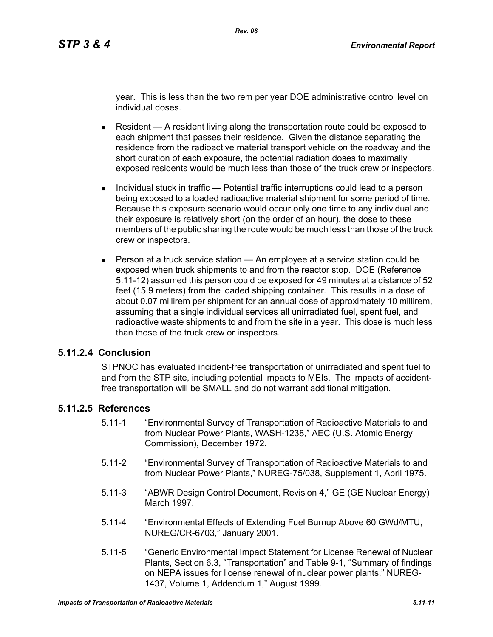year. This is less than the two rem per year DOE administrative control level on individual doses.

- Resident  $A$  resident living along the transportation route could be exposed to each shipment that passes their residence. Given the distance separating the residence from the radioactive material transport vehicle on the roadway and the short duration of each exposure, the potential radiation doses to maximally exposed residents would be much less than those of the truck crew or inspectors.
- Individual stuck in traffic Potential traffic interruptions could lead to a person being exposed to a loaded radioactive material shipment for some period of time. Because this exposure scenario would occur only one time to any individual and their exposure is relatively short (on the order of an hour), the dose to these members of the public sharing the route would be much less than those of the truck crew or inspectors.
- **Person at a truck service station An employee at a service station could be** exposed when truck shipments to and from the reactor stop. DOE (Reference 5.11-12) assumed this person could be exposed for 49 minutes at a distance of 52 feet (15.9 meters) from the loaded shipping container. This results in a dose of about 0.07 millirem per shipment for an annual dose of approximately 10 millirem, assuming that a single individual services all unirradiated fuel, spent fuel, and radioactive waste shipments to and from the site in a year. This dose is much less than those of the truck crew or inspectors.

### **5.11.2.4 Conclusion**

STPNOC has evaluated incident-free transportation of unirradiated and spent fuel to and from the STP site, including potential impacts to MEIs. The impacts of accidentfree transportation will be SMALL and do not warrant additional mitigation.

### **5.11.2.5 References**

- 5.11-1 "Environmental Survey of Transportation of Radioactive Materials to and from Nuclear Power Plants, WASH-1238," AEC (U.S. Atomic Energy Commission), December 1972.
- 5.11-2 "Environmental Survey of Transportation of Radioactive Materials to and from Nuclear Power Plants," NUREG-75/038, Supplement 1, April 1975.
- 5.11-3 "ABWR Design Control Document, Revision 4," GE (GE Nuclear Energy) March 1997.
- 5.11-4 "Environmental Effects of Extending Fuel Burnup Above 60 GWd/MTU, NUREG/CR-6703," January 2001.
- 5.11-5 "Generic Environmental Impact Statement for License Renewal of Nuclear Plants, Section 6.3, "Transportation" and Table 9-1, "Summary of findings on NEPA issues for license renewal of nuclear power plants," NUREG-1437, Volume 1, Addendum 1," August 1999.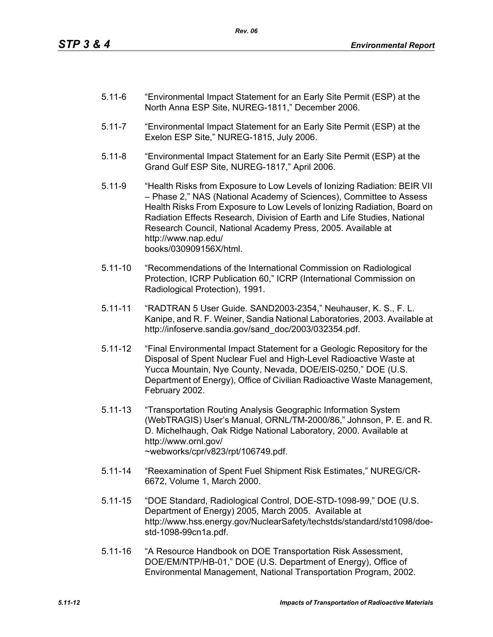- 5.11-6 "Environmental Impact Statement for an Early Site Permit (ESP) at the North Anna ESP Site, NUREG-1811," December 2006.
- 5.11-7 "Environmental Impact Statement for an Early Site Permit (ESP) at the Exelon ESP Site," NUREG-1815, July 2006.
- 5.11-8 "Environmental Impact Statement for an Early Site Permit (ESP) at the Grand Gulf ESP Site, NUREG-1817," April 2006.
- 5.11-9 "Health Risks from Exposure to Low Levels of Ionizing Radiation: BEIR VII – Phase 2," NAS (National Academy of Sciences), Committee to Assess Health Risks From Exposure to Low Levels of Ionizing Radiation, Board on Radiation Effects Research, Division of Earth and Life Studies, National Research Council, National Academy Press, 2005. Available at http://www.nap.edu/ books/030909156X/html.
- 5.11-10 "Recommendations of the International Commission on Radiological Protection, ICRP Publication 60," ICRP (International Commission on Radiological Protection), 1991.
- 5.11-11 "RADTRAN 5 User Guide. SAND2003-2354," Neuhauser, K. S., F. L. Kanipe, and R. F. Weiner, Sandia National Laboratories, 2003. Available at http://infoserve.sandia.gov/sand\_doc/2003/032354.pdf.
- 5.11-12 "Final Environmental Impact Statement for a Geologic Repository for the Disposal of Spent Nuclear Fuel and High-Level Radioactive Waste at Yucca Mountain, Nye County, Nevada, DOE/EIS-0250," DOE (U.S. Department of Energy), Office of Civilian Radioactive Waste Management, February 2002.
- 5.11-13 "Transportation Routing Analysis Geographic Information System (WebTRAGIS) User's Manual, ORNL/TM-2000/86," Johnson, P. E. and R. D. Michelhaugh, Oak Ridge National Laboratory, 2000. Available at http://www.ornl.gov/ ~webworks/cpr/v823/rpt/106749.pdf.
- 5.11-14 "Reexamination of Spent Fuel Shipment Risk Estimates," NUREG/CR-6672, Volume 1, March 2000.
- 5.11-15 "DOE Standard, Radiological Control, DOE-STD-1098-99," DOE (U.S. Department of Energy) 2005, March 2005. Available at http://www.hss.energy.gov/NuclearSafety/techstds/standard/std1098/doestd-1098-99cn1a.pdf.
- 5.11-16 "A Resource Handbook on DOE Transportation Risk Assessment, DOE/EM/NTP/HB-01," DOE (U.S. Department of Energy), Office of Environmental Management, National Transportation Program, 2002.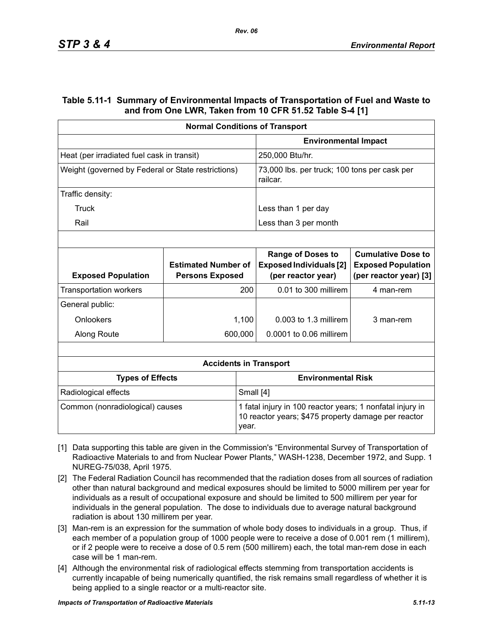### **Table 5.11-1 Summary of Environmental Impacts of Transportation of Fuel and Waste to and from One LWR, Taken from 10 CFR 51.52 Table S-4 [1]**

|                                                    | <b>Normal Conditions of Transport</b>                |                                                                                                                  |                                                                                  |                                                                                  |  |
|----------------------------------------------------|------------------------------------------------------|------------------------------------------------------------------------------------------------------------------|----------------------------------------------------------------------------------|----------------------------------------------------------------------------------|--|
|                                                    |                                                      |                                                                                                                  | <b>Environmental Impact</b>                                                      |                                                                                  |  |
| Heat (per irradiated fuel cask in transit)         |                                                      |                                                                                                                  | 250,000 Btu/hr.                                                                  |                                                                                  |  |
| Weight (governed by Federal or State restrictions) |                                                      | 73,000 lbs. per truck; 100 tons per cask per<br>railcar.                                                         |                                                                                  |                                                                                  |  |
| Traffic density:                                   |                                                      |                                                                                                                  |                                                                                  |                                                                                  |  |
| Truck                                              |                                                      |                                                                                                                  | Less than 1 per day                                                              |                                                                                  |  |
| Rail                                               |                                                      |                                                                                                                  | Less than 3 per month                                                            |                                                                                  |  |
|                                                    |                                                      |                                                                                                                  |                                                                                  |                                                                                  |  |
| <b>Exposed Population</b>                          | <b>Estimated Number of</b><br><b>Persons Exposed</b> |                                                                                                                  | <b>Range of Doses to</b><br><b>Exposed Individuals [2]</b><br>(per reactor year) | <b>Cumulative Dose to</b><br><b>Exposed Population</b><br>(per reactor year) [3] |  |
| <b>Transportation workers</b>                      |                                                      | 200                                                                                                              | 0.01 to 300 millirem                                                             | 4 man-rem                                                                        |  |
| General public:                                    |                                                      |                                                                                                                  |                                                                                  |                                                                                  |  |
| Onlookers                                          |                                                      | 1,100                                                                                                            | $0.003$ to 1.3 millirem                                                          | 3 man-rem                                                                        |  |
| Along Route                                        |                                                      | 600,000                                                                                                          | 0.0001 to 0.06 millirem                                                          |                                                                                  |  |
|                                                    |                                                      |                                                                                                                  |                                                                                  |                                                                                  |  |
|                                                    |                                                      |                                                                                                                  | <b>Accidents in Transport</b>                                                    |                                                                                  |  |
| <b>Types of Effects</b>                            |                                                      |                                                                                                                  | <b>Environmental Risk</b>                                                        |                                                                                  |  |
| Radiological effects                               |                                                      |                                                                                                                  | Small [4]                                                                        |                                                                                  |  |
| Common (nonradiological) causes<br>year.           |                                                      | 1 fatal injury in 100 reactor years; 1 nonfatal injury in<br>10 reactor years; \$475 property damage per reactor |                                                                                  |                                                                                  |  |

- [1] Data supporting this table are given in the Commission's "Environmental Survey of Transportation of Radioactive Materials to and from Nuclear Power Plants," WASH-1238, December 1972, and Supp. 1 NUREG-75/038, April 1975.
- [2] The Federal Radiation Council has recommended that the radiation doses from all sources of radiation other than natural background and medical exposures should be limited to 5000 millirem per year for individuals as a result of occupational exposure and should be limited to 500 millirem per year for individuals in the general population. The dose to individuals due to average natural background radiation is about 130 millirem per year.
- [3] Man-rem is an expression for the summation of whole body doses to individuals in a group. Thus, if each member of a population group of 1000 people were to receive a dose of 0.001 rem (1 millirem), or if 2 people were to receive a dose of 0.5 rem (500 millirem) each, the total man-rem dose in each case will be 1 man-rem.
- [4] Although the environmental risk of radiological effects stemming from transportation accidents is currently incapable of being numerically quantified, the risk remains small regardless of whether it is being applied to a single reactor or a multi-reactor site.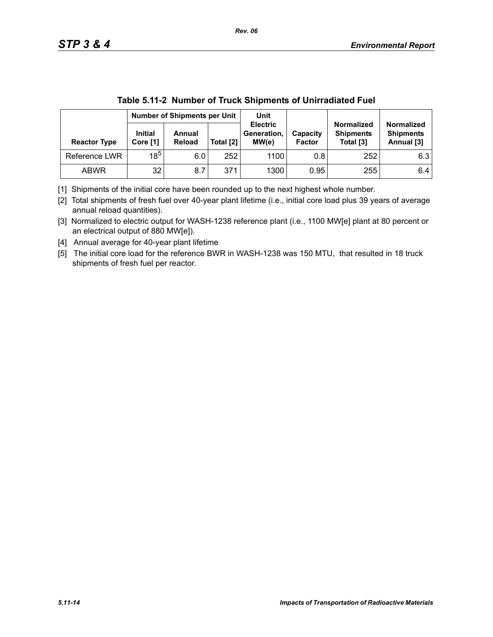|                     |                            | Number of Shipments per Unit |           | .wwiw viii = .iv.iiiwvi vi livivii viiipiiiviito vi viiiiiv.viivivii vivi<br>Unit |                           |                                                    |                                                     |
|---------------------|----------------------------|------------------------------|-----------|-----------------------------------------------------------------------------------|---------------------------|----------------------------------------------------|-----------------------------------------------------|
| <b>Reactor Type</b> | <b>Initial</b><br>Core [1] | Annual<br><b>Reload</b>      | Total [2] | <b>Electric</b><br>Generation,<br>MW(e)                                           | Capacity<br><b>Factor</b> | <b>Normalized</b><br><b>Shipments</b><br>Total [3] | <b>Normalized</b><br><b>Shipments</b><br>Annual [3] |
| Reference LWR       | $18^5$                     | 6.0                          | 252       | 1100                                                                              | 0.8                       | 252                                                | 6.3                                                 |
| <b>ABWR</b>         | 32                         | 8.7                          | 371       | 1300                                                                              | 0.95                      | 255                                                | 6.4                                                 |

|  | Table 5.11-2 Number of Truck Shipments of Unirradiated Fuel |
|--|-------------------------------------------------------------|
|  |                                                             |

[1] Shipments of the initial core have been rounded up to the next highest whole number.

[2] Total shipments of fresh fuel over 40-year plant lifetime (i.e., initial core load plus 39 years of average annual reload quantities).

[3] Normalized to electric output for WASH-1238 reference plant (i.e., 1100 MW[e] plant at 80 percent or an electrical output of 880 MW[e]).

[4] Annual average for 40-year plant lifetime

[5] The initial core load for the reference BWR in WASH-1238 was 150 MTU, that resulted in 18 truck shipments of fresh fuel per reactor.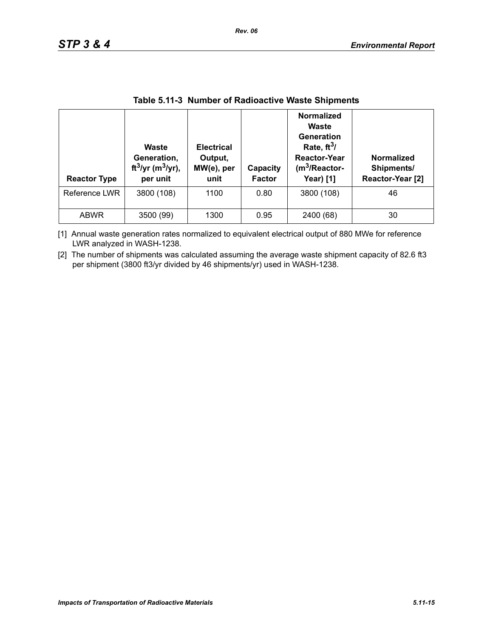| <b>Reactor Type</b> | <b>Waste</b><br>Generation,<br>ft <sup>3</sup> /yr (m <sup>3</sup> /yr),<br>per unit | <b>Electrical</b><br>Output,<br>MW(e), per<br>unit | Capacity<br><b>Factor</b> | <b>Normalized</b><br>Waste<br>Generation<br>Rate, $ft^3/$<br><b>Reactor-Year</b><br>$(m3/Reactor-$<br><b>Year)</b> [1] | <b>Normalized</b><br>Shipments/<br>Reactor-Year [2] |
|---------------------|--------------------------------------------------------------------------------------|----------------------------------------------------|---------------------------|------------------------------------------------------------------------------------------------------------------------|-----------------------------------------------------|
| Reference LWR       | 3800 (108)                                                                           | 1100                                               | 0.80                      | 3800 (108)                                                                                                             | 46                                                  |
| <b>ABWR</b>         | 3500 (99)                                                                            | 1300                                               | 0.95                      | 2400 (68)                                                                                                              | 30                                                  |

### **Table 5.11-3 Number of Radioactive Waste Shipments**

[1] Annual waste generation rates normalized to equivalent electrical output of 880 MWe for reference LWR analyzed in WASH-1238.

[2] The number of shipments was calculated assuming the average waste shipment capacity of 82.6 ft3 per shipment (3800 ft3/yr divided by 46 shipments/yr) used in WASH-1238.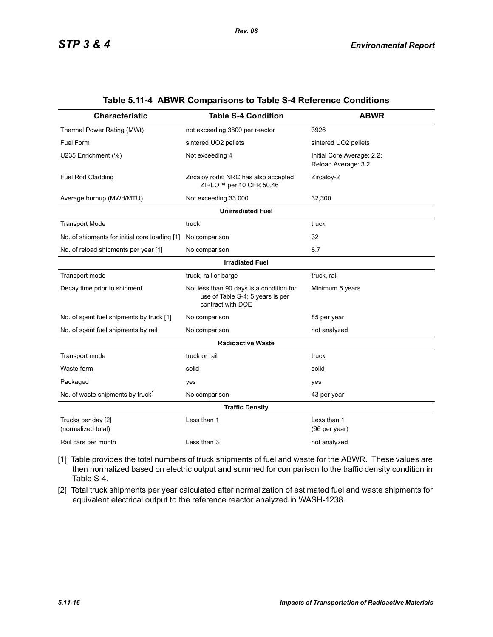| <b>Characteristic</b>                         | <b>Table S-4 Condition</b>                                                                        | <b>ABWR</b>                                       |  |  |  |  |  |
|-----------------------------------------------|---------------------------------------------------------------------------------------------------|---------------------------------------------------|--|--|--|--|--|
| Thermal Power Rating (MWt)                    | not exceeding 3800 per reactor                                                                    | 3926                                              |  |  |  |  |  |
| Fuel Form                                     | sintered UO2 pellets                                                                              | sintered UO2 pellets                              |  |  |  |  |  |
| U235 Enrichment (%)                           | Not exceeding 4                                                                                   | Initial Core Average: 2.2;<br>Reload Average: 3.2 |  |  |  |  |  |
| Fuel Rod Cladding                             | Zircaloy rods; NRC has also accepted<br>ZIRLO <sup>™</sup> per 10 CFR 50.46                       | Zircaloy-2                                        |  |  |  |  |  |
| Average burnup (MWd/MTU)                      | Not exceeding 33,000                                                                              | 32,300                                            |  |  |  |  |  |
| <b>Unirradiated Fuel</b>                      |                                                                                                   |                                                   |  |  |  |  |  |
| <b>Transport Mode</b>                         | truck                                                                                             | truck                                             |  |  |  |  |  |
| No. of shipments for initial core loading [1] | No comparison                                                                                     | 32                                                |  |  |  |  |  |
| No. of reload shipments per year [1]          | No comparison                                                                                     | 8.7                                               |  |  |  |  |  |
|                                               | <b>Irradiated Fuel</b>                                                                            |                                                   |  |  |  |  |  |
| Transport mode                                | truck, rail or barge                                                                              | truck, rail                                       |  |  |  |  |  |
| Decay time prior to shipment                  | Not less than 90 days is a condition for<br>use of Table S-4; 5 years is per<br>contract with DOE | Minimum 5 years                                   |  |  |  |  |  |
| No. of spent fuel shipments by truck [1]      | No comparison                                                                                     | 85 per year                                       |  |  |  |  |  |
| No. of spent fuel shipments by rail           | No comparison                                                                                     | not analyzed                                      |  |  |  |  |  |
|                                               | <b>Radioactive Waste</b>                                                                          |                                                   |  |  |  |  |  |
| Transport mode                                | truck or rail                                                                                     | truck                                             |  |  |  |  |  |
| Waste form                                    | solid                                                                                             | solid                                             |  |  |  |  |  |
| Packaged                                      | yes                                                                                               | yes                                               |  |  |  |  |  |
| No. of waste shipments by truck <sup>1</sup>  | No comparison                                                                                     | 43 per year                                       |  |  |  |  |  |
|                                               | <b>Traffic Density</b>                                                                            |                                                   |  |  |  |  |  |
| Trucks per day [2]<br>(normalized total)      | Less than 1                                                                                       | Less than 1<br>(96 per year)                      |  |  |  |  |  |
| Rail cars per month                           | Less than 3                                                                                       | not analyzed                                      |  |  |  |  |  |

#### **Table 5.11-4 ABWR Comparisons to Table S-4 Reference Conditions**

[1] Table provides the total numbers of truck shipments of fuel and waste for the ABWR. These values are then normalized based on electric output and summed for comparison to the traffic density condition in Table S-4.

[2] Total truck shipments per year calculated after normalization of estimated fuel and waste shipments for equivalent electrical output to the reference reactor analyzed in WASH-1238.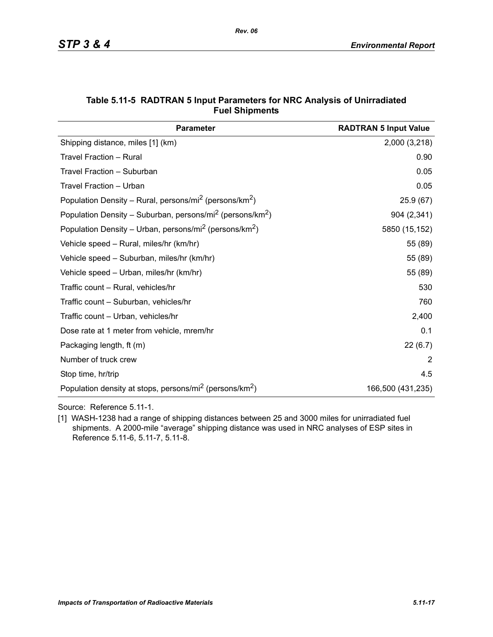| <b>Parameter</b>                                                                  | <b>RADTRAN 5 Input Value</b> |
|-----------------------------------------------------------------------------------|------------------------------|
| Shipping distance, miles [1] (km)                                                 | 2,000 (3,218)                |
| Travel Fraction - Rural                                                           | 0.90                         |
| Travel Fraction - Suburban                                                        | 0.05                         |
| Travel Fraction - Urban                                                           | 0.05                         |
| Population Density – Rural, persons/mi <sup>2</sup> (persons/km <sup>2</sup> )    | 25.9(67)                     |
| Population Density – Suburban, persons/mi <sup>2</sup> (persons/km <sup>2</sup> ) | 904 (2,341)                  |
| Population Density – Urban, persons/mi <sup>2</sup> (persons/km <sup>2</sup> )    | 5850 (15,152)                |
| Vehicle speed - Rural, miles/hr (km/hr)                                           | 55 (89)                      |
| Vehicle speed - Suburban, miles/hr (km/hr)                                        | 55 (89)                      |
| Vehicle speed – Urban, miles/hr (km/hr)                                           | 55 (89)                      |
| Traffic count - Rural, vehicles/hr                                                | 530                          |
| Traffic count - Suburban, vehicles/hr                                             | 760                          |
| Traffic count - Urban, vehicles/hr                                                | 2,400                        |
| Dose rate at 1 meter from vehicle, mrem/hr                                        | 0.1                          |
| Packaging length, ft (m)                                                          | 22 (6.7)                     |
| Number of truck crew                                                              | 2                            |
| Stop time, hr/trip                                                                | 4.5                          |
| Population density at stops, persons/mi <sup>2</sup> (persons/km <sup>2</sup> )   | 166,500 (431,235)            |

### **Table 5.11-5 RADTRAN 5 Input Parameters for NRC Analysis of Unirradiated Fuel Shipments**

Source: Reference 5.11-1.

[1] WASH-1238 had a range of shipping distances between 25 and 3000 miles for unirradiated fuel shipments. A 2000-mile "average" shipping distance was used in NRC analyses of ESP sites in Reference 5.11-6, 5.11-7, 5.11-8.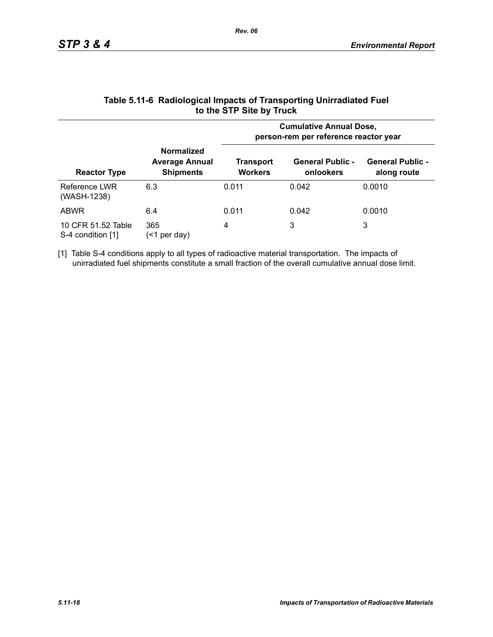|                                         |                                                                | <b>Cumulative Annual Dose,</b><br>person-rem per reference reactor year |                                      |                                        |  |
|-----------------------------------------|----------------------------------------------------------------|-------------------------------------------------------------------------|--------------------------------------|----------------------------------------|--|
| <b>Reactor Type</b>                     | <b>Normalized</b><br><b>Average Annual</b><br><b>Shipments</b> | Transport<br><b>Workers</b>                                             | <b>General Public -</b><br>onlookers | <b>General Public -</b><br>along route |  |
| Reference LWR<br>(WASH-1238)            | 6.3                                                            | 0.011                                                                   | 0.042                                | 0.0010                                 |  |
| <b>ABWR</b>                             | 6.4                                                            | 0.011                                                                   | 0.042                                | 0.0010                                 |  |
| 10 CFR 51.52 Table<br>S-4 condition [1] | 365<br>per day)<br>(<1                                         | 4                                                                       | 3                                    | 3                                      |  |

### **Table 5.11-6 Radiological Impacts of Transporting Unirradiated Fuel to the STP Site by Truck**

[1] Table S-4 conditions apply to all types of radioactive material transportation. The impacts of unirradiated fuel shipments constitute a small fraction of the overall cumulative annual dose limit.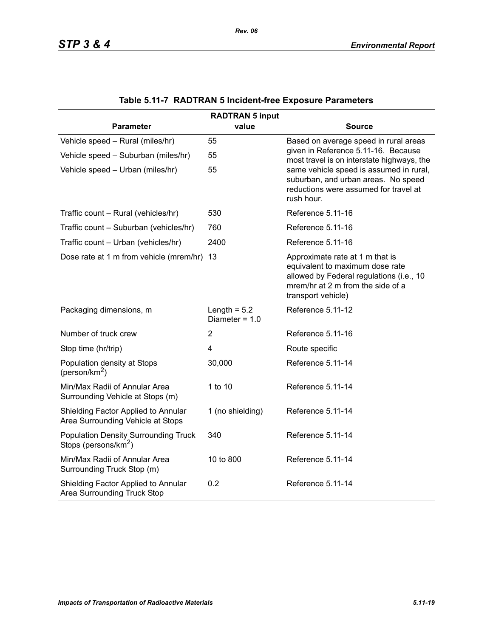| <b>RADTRAN 5 input</b>                                                          |                                    |                                                                                                                                                                           |  |  |  |  |
|---------------------------------------------------------------------------------|------------------------------------|---------------------------------------------------------------------------------------------------------------------------------------------------------------------------|--|--|--|--|
| <b>Parameter</b>                                                                | value                              | <b>Source</b>                                                                                                                                                             |  |  |  |  |
| Vehicle speed - Rural (miles/hr)                                                | 55                                 | Based on average speed in rural areas                                                                                                                                     |  |  |  |  |
| Vehicle speed - Suburban (miles/hr)                                             | 55                                 | given in Reference 5.11-16. Because<br>most travel is on interstate highways, the                                                                                         |  |  |  |  |
| Vehicle speed - Urban (miles/hr)                                                | 55                                 | same vehicle speed is assumed in rural,<br>suburban, and urban areas. No speed<br>reductions were assumed for travel at<br>rush hour.                                     |  |  |  |  |
| Traffic count - Rural (vehicles/hr)                                             | 530                                | Reference 5.11-16                                                                                                                                                         |  |  |  |  |
| Traffic count - Suburban (vehicles/hr)                                          | 760                                | Reference 5.11-16                                                                                                                                                         |  |  |  |  |
| Traffic count - Urban (vehicles/hr)                                             | 2400                               | Reference 5.11-16                                                                                                                                                         |  |  |  |  |
| Dose rate at 1 m from vehicle (mrem/hr) 13                                      |                                    | Approximate rate at 1 m that is<br>equivalent to maximum dose rate<br>allowed by Federal regulations (i.e., 10<br>mrem/hr at 2 m from the side of a<br>transport vehicle) |  |  |  |  |
| Packaging dimensions, m                                                         | Length = $5.2$<br>Diameter = $1.0$ | Reference 5.11-12                                                                                                                                                         |  |  |  |  |
| Number of truck crew                                                            | $\overline{2}$                     | Reference 5.11-16                                                                                                                                                         |  |  |  |  |
| Stop time (hr/trip)                                                             | $\overline{4}$                     | Route specific                                                                                                                                                            |  |  |  |  |
| Population density at Stops<br>(person/km <sup>2</sup> )                        | 30,000                             | Reference 5.11-14                                                                                                                                                         |  |  |  |  |
| Min/Max Radii of Annular Area<br>Surrounding Vehicle at Stops (m)               | 1 to 10                            | Reference 5.11-14                                                                                                                                                         |  |  |  |  |
| Shielding Factor Applied to Annular<br>Area Surrounding Vehicle at Stops        | 1 (no shielding)                   | Reference 5.11-14                                                                                                                                                         |  |  |  |  |
| <b>Population Density Surrounding Truck</b><br>Stops (persons/km <sup>2</sup> ) | 340                                | Reference 5.11-14                                                                                                                                                         |  |  |  |  |
| Min/Max Radii of Annular Area<br>Surrounding Truck Stop (m)                     | 10 to 800                          | Reference 5.11-14                                                                                                                                                         |  |  |  |  |
| Shielding Factor Applied to Annular<br>Area Surrounding Truck Stop              | 0.2                                | Reference 5.11-14                                                                                                                                                         |  |  |  |  |

# **Table 5.11-7 RADTRAN 5 Incident-free Exposure Parameters**